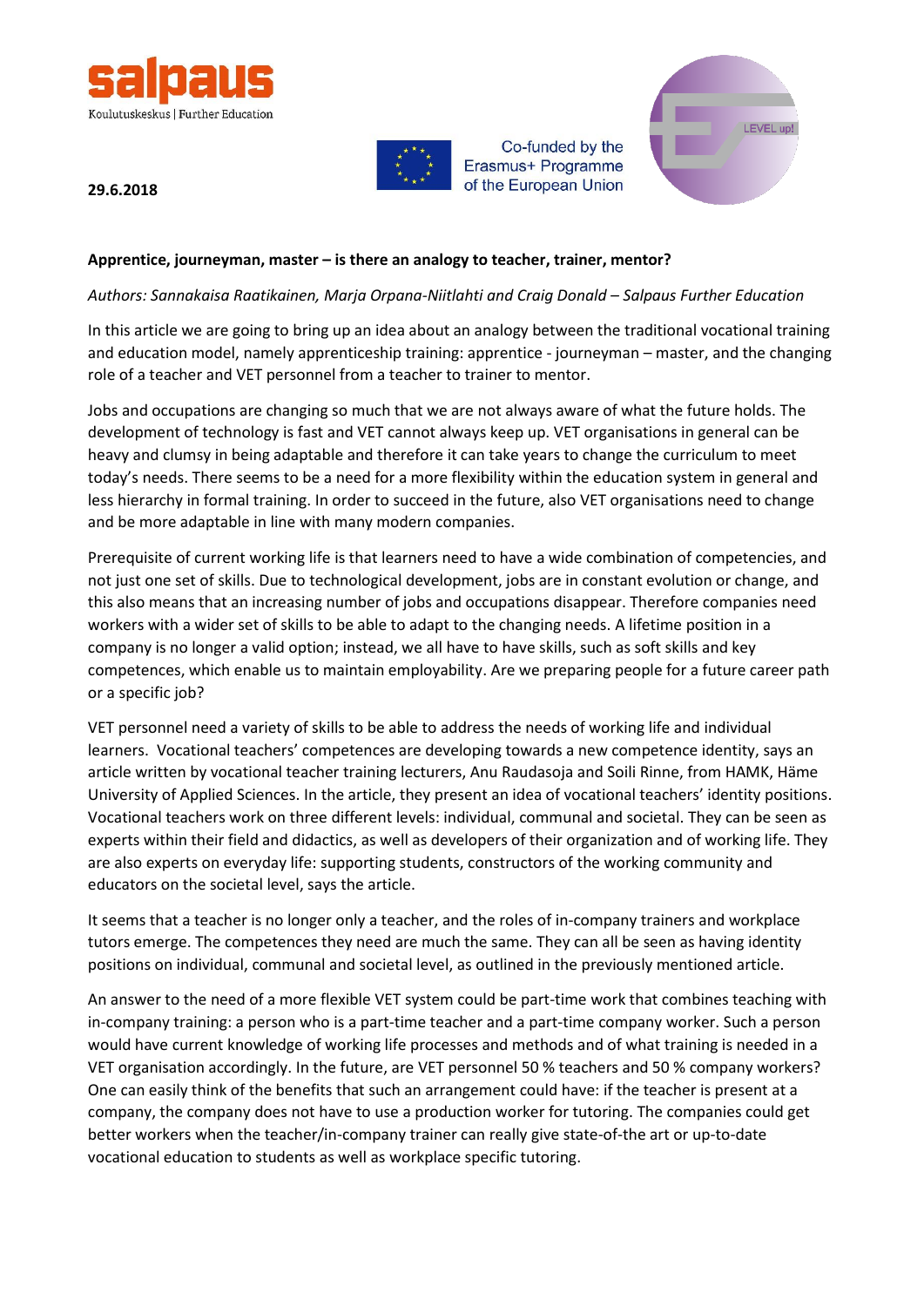



Co-funded by the Erasmus+ Programme of the European Union



## **29.6.2018**

## **Apprentice, journeyman, master – is there an analogy to teacher, trainer, mentor?**

## *Authors: Sannakaisa Raatikainen, Marja Orpana-Niitlahti and Craig Donald – Salpaus Further Education*

In this article we are going to bring up an idea about an analogy between the traditional vocational training and education model, namely apprenticeship training: apprentice - journeyman – master, and the changing role of a teacher and VET personnel from a teacher to trainer to mentor.

Jobs and occupations are changing so much that we are not always aware of what the future holds. The development of technology is fast and VET cannot always keep up. VET organisations in general can be heavy and clumsy in being adaptable and therefore it can take years to change the curriculum to meet today's needs. There seems to be a need for a more flexibility within the education system in general and less hierarchy in formal training. In order to succeed in the future, also VET organisations need to change and be more adaptable in line with many modern companies.

Prerequisite of current working life is that learners need to have a wide combination of competencies, and not just one set of skills. Due to technological development, jobs are in constant evolution or change, and this also means that an increasing number of jobs and occupations disappear. Therefore companies need workers with a wider set of skills to be able to adapt to the changing needs. A lifetime position in a company is no longer a valid option; instead, we all have to have skills, such as soft skills and key competences, which enable us to maintain employability. Are we preparing people for a future career path or a specific job?

VET personnel need a variety of skills to be able to address the needs of working life and individual learners. Vocational teachers' competences are developing towards a new competence identity, says an article written by vocational teacher training lecturers, Anu Raudasoja and Soili Rinne, from HAMK, Häme University of Applied Sciences. In the article, they present an idea of vocational teachers' identity positions. Vocational teachers work on three different levels: individual, communal and societal. They can be seen as experts within their field and didactics, as well as developers of their organization and of working life. They are also experts on everyday life: supporting students, constructors of the working community and educators on the societal level, says the article.

It seems that a teacher is no longer only a teacher, and the roles of in-company trainers and workplace tutors emerge. The competences they need are much the same. They can all be seen as having identity positions on individual, communal and societal level, as outlined in the previously mentioned article.

An answer to the need of a more flexible VET system could be part-time work that combines teaching with in-company training: a person who is a part-time teacher and a part-time company worker. Such a person would have current knowledge of working life processes and methods and of what training is needed in a VET organisation accordingly. In the future, are VET personnel 50 % teachers and 50 % company workers? One can easily think of the benefits that such an arrangement could have: if the teacher is present at a company, the company does not have to use a production worker for tutoring. The companies could get better workers when the teacher/in-company trainer can really give state-of-the art or up-to-date vocational education to students as well as workplace specific tutoring.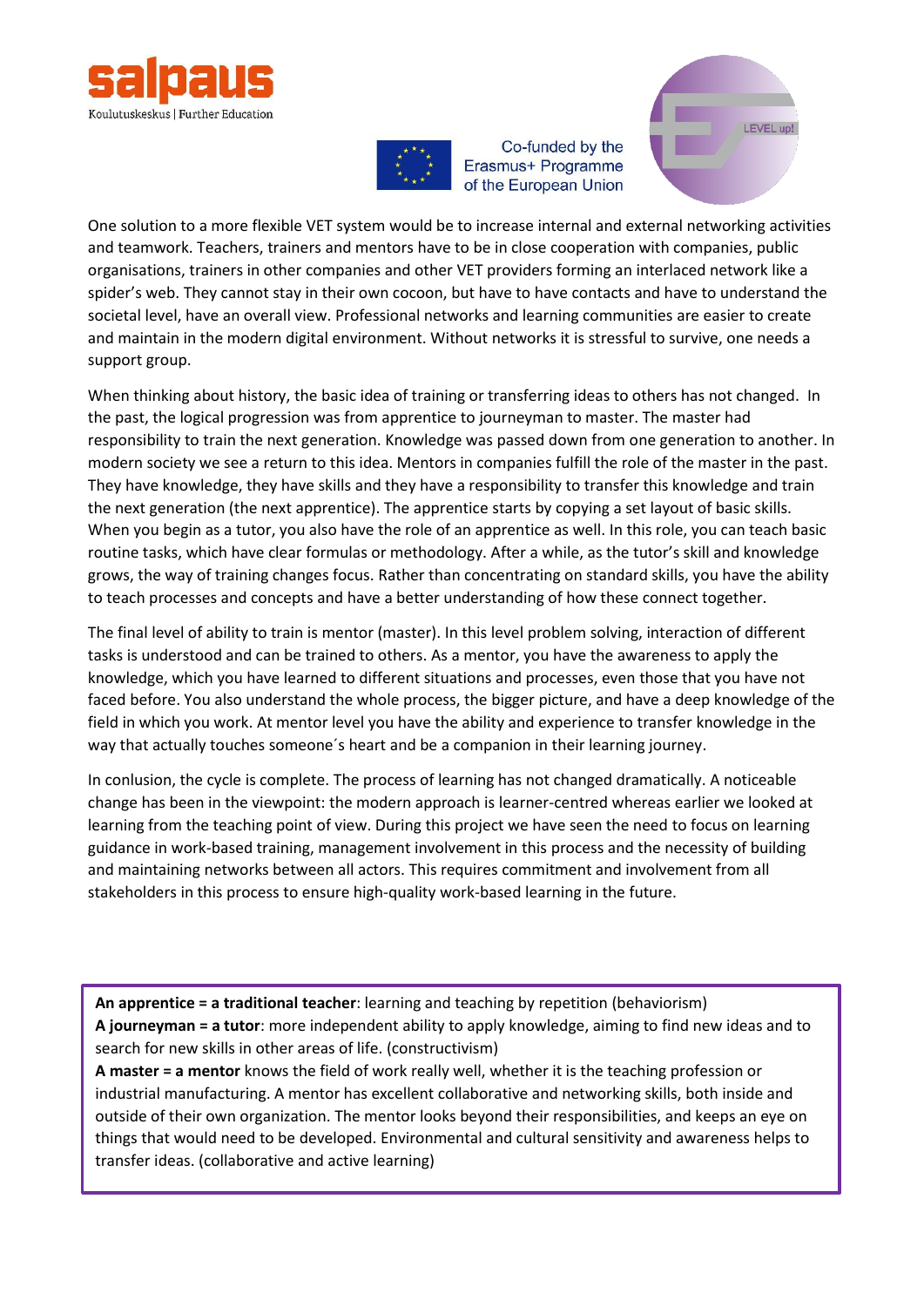



Co-funded by the Erasmus+ Programme of the European Union



One solution to a more flexible VET system would be to increase internal and external networking activities and teamwork. Teachers, trainers and mentors have to be in close cooperation with companies, public organisations, trainers in other companies and other VET providers forming an interlaced network like a spider's web. They cannot stay in their own cocoon, but have to have contacts and have to understand the societal level, have an overall view. Professional networks and learning communities are easier to create and maintain in the modern digital environment. Without networks it is stressful to survive, one needs a support group.

When thinking about history, the basic idea of training or transferring ideas to others has not changed. In the past, the logical progression was from apprentice to journeyman to master. The master had responsibility to train the next generation. Knowledge was passed down from one generation to another. In modern society we see a return to this idea. Mentors in companies fulfill the role of the master in the past. They have knowledge, they have skills and they have a responsibility to transfer this knowledge and train the next generation (the next apprentice). The apprentice starts by copying a set layout of basic skills. When you begin as a tutor, you also have the role of an apprentice as well. In this role, you can teach basic routine tasks, which have clear formulas or methodology. After a while, as the tutor's skill and knowledge grows, the way of training changes focus. Rather than concentrating on standard skills, you have the ability to teach processes and concepts and have a better understanding of how these connect together.

The final level of ability to train is mentor (master). In this level problem solving, interaction of different tasks is understood and can be trained to others. As a mentor, you have the awareness to apply the knowledge, which you have learned to different situations and processes, even those that you have not faced before. You also understand the whole process, the bigger picture, and have a deep knowledge of the field in which you work. At mentor level you have the ability and experience to transfer knowledge in the way that actually touches someone´s heart and be a companion in their learning journey.

In conlusion, the cycle is complete. The process of learning has not changed dramatically. A noticeable change has been in the viewpoint: the modern approach is learner-centred whereas earlier we looked at learning from the teaching point of view. During this project we have seen the need to focus on learning guidance in work-based training, management involvement in this process and the necessity of building and maintaining networks between all actors. This requires commitment and involvement from all stakeholders in this process to ensure high-quality work-based learning in the future.

**An apprentice = a traditional teacher**: learning and teaching by repetition (behaviorism) **A journeyman = a tutor**: more independent ability to apply knowledge, aiming to find new ideas and to search for new skills in other areas of life. (constructivism)

**A master = a mentor** knows the field of work really well, whether it is the teaching profession or industrial manufacturing. A mentor has excellent collaborative and networking skills, both inside and outside of their own organization. The mentor looks beyond their responsibilities, and keeps an eye on things that would need to be developed. Environmental and cultural sensitivity and awareness helps to transfer ideas. (collaborative and active learning)